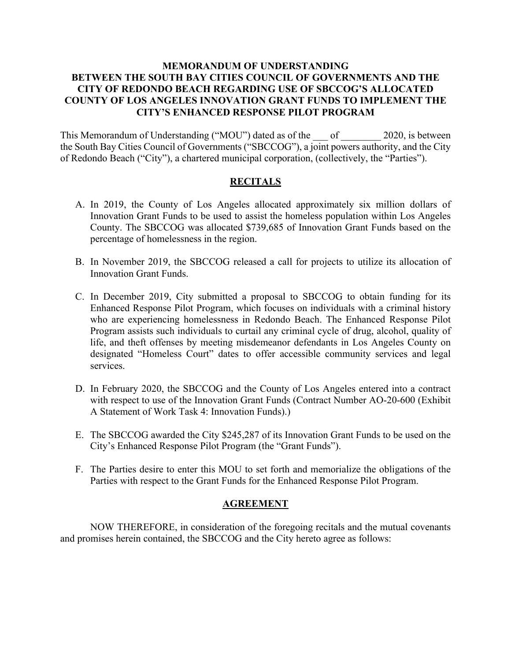### **MEMORANDUM OF UNDERSTANDING BETWEEN THE SOUTH BAY CITIES COUNCIL OF GOVERNMENTS AND THE CITY OF REDONDO BEACH REGARDING USE OF SBCCOG'S ALLOCATED COUNTY OF LOS ANGELES INNOVATION GRANT FUNDS TO IMPLEMENT THE CITY'S ENHANCED RESPONSE PILOT PROGRAM**

This Memorandum of Understanding ("MOU") dated as of the  $\qquad$  of  $\qquad$  2020, is between the South Bay Cities Council of Governments ("SBCCOG"), a joint powers authority, and the City of Redondo Beach ("City"), a chartered municipal corporation, (collectively, the "Parties").

### **RECITALS**

- A. In 2019, the County of Los Angeles allocated approximately six million dollars of Innovation Grant Funds to be used to assist the homeless population within Los Angeles County. The SBCCOG was allocated \$739,685 of Innovation Grant Funds based on the percentage of homelessness in the region.
- B. In November 2019, the SBCCOG released a call for projects to utilize its allocation of Innovation Grant Funds.
- C. In December 2019, City submitted a proposal to SBCCOG to obtain funding for its Enhanced Response Pilot Program, which focuses on individuals with a criminal history who are experiencing homelessness in Redondo Beach. The Enhanced Response Pilot Program assists such individuals to curtail any criminal cycle of drug, alcohol, quality of life, and theft offenses by meeting misdemeanor defendants in Los Angeles County on designated "Homeless Court" dates to offer accessible community services and legal services.
- D. In February 2020, the SBCCOG and the County of Los Angeles entered into a contract with respect to use of the Innovation Grant Funds (Contract Number AO-20-600 (Exhibit A Statement of Work Task 4: Innovation Funds).)
- E. The SBCCOG awarded the City \$245,287 of its Innovation Grant Funds to be used on the City's Enhanced Response Pilot Program (the "Grant Funds").
- F. The Parties desire to enter this MOU to set forth and memorialize the obligations of the Parties with respect to the Grant Funds for the Enhanced Response Pilot Program.

#### **AGREEMENT**

NOW THEREFORE, in consideration of the foregoing recitals and the mutual covenants and promises herein contained, the SBCCOG and the City hereto agree as follows: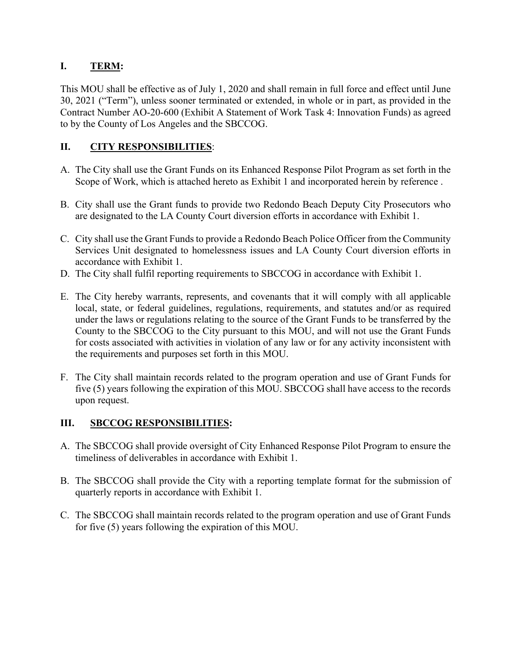## **I. TERM:**

This MOU shall be effective as of July 1, 2020 and shall remain in full force and effect until June 30, 2021 ("Term"), unless sooner terminated or extended, in whole or in part, as provided in the Contract Number AO-20-600 (Exhibit A Statement of Work Task 4: Innovation Funds) as agreed to by the County of Los Angeles and the SBCCOG.

## **II. CITY RESPONSIBILITIES**:

- A. The City shall use the Grant Funds on its Enhanced Response Pilot Program as set forth in the Scope of Work, which is attached hereto as Exhibit 1 and incorporated herein by reference .
- B. City shall use the Grant funds to provide two Redondo Beach Deputy City Prosecutors who are designated to the LA County Court diversion efforts in accordance with Exhibit 1.
- C. City shall use the Grant Funds to provide a Redondo Beach Police Officer from the Community Services Unit designated to homelessness issues and LA County Court diversion efforts in accordance with Exhibit 1.
- D. The City shall fulfil reporting requirements to SBCCOG in accordance with Exhibit 1.
- E. The City hereby warrants, represents, and covenants that it will comply with all applicable local, state, or federal guidelines, regulations, requirements, and statutes and/or as required under the laws or regulations relating to the source of the Grant Funds to be transferred by the County to the SBCCOG to the City pursuant to this MOU, and will not use the Grant Funds for costs associated with activities in violation of any law or for any activity inconsistent with the requirements and purposes set forth in this MOU.
- F. The City shall maintain records related to the program operation and use of Grant Funds for five (5) years following the expiration of this MOU. SBCCOG shall have access to the records upon request.

### **III. SBCCOG RESPONSIBILITIES:**

- A. The SBCCOG shall provide oversight of City Enhanced Response Pilot Program to ensure the timeliness of deliverables in accordance with Exhibit 1.
- B. The SBCCOG shall provide the City with a reporting template format for the submission of quarterly reports in accordance with Exhibit 1.
- C. The SBCCOG shall maintain records related to the program operation and use of Grant Funds for five (5) years following the expiration of this MOU.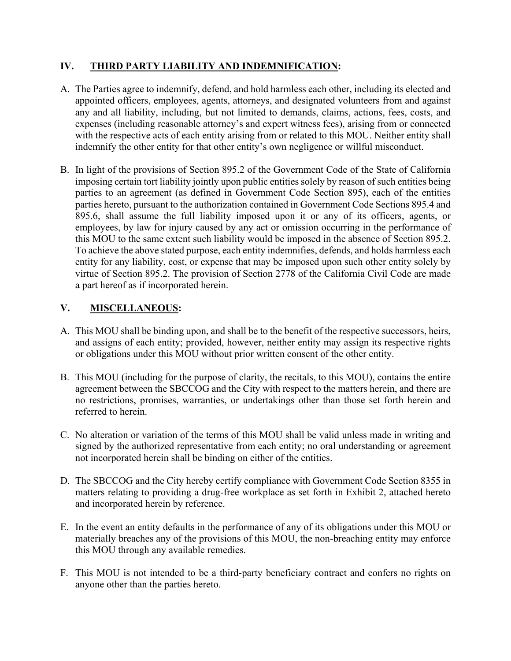### **IV. THIRD PARTY LIABILITY AND INDEMNIFICATION:**

- A. The Parties agree to indemnify, defend, and hold harmless each other, including its elected and appointed officers, employees, agents, attorneys, and designated volunteers from and against any and all liability, including, but not limited to demands, claims, actions, fees, costs, and expenses (including reasonable attorney's and expert witness fees), arising from or connected with the respective acts of each entity arising from or related to this MOU. Neither entity shall indemnify the other entity for that other entity's own negligence or willful misconduct.
- B. In light of the provisions of Section 895.2 of the Government Code of the State of California imposing certain tort liability jointly upon public entities solely by reason of such entities being parties to an agreement (as defined in Government Code Section 895), each of the entities parties hereto, pursuant to the authorization contained in Government Code Sections 895.4 and 895.6, shall assume the full liability imposed upon it or any of its officers, agents, or employees, by law for injury caused by any act or omission occurring in the performance of this MOU to the same extent such liability would be imposed in the absence of Section 895.2. To achieve the above stated purpose, each entity indemnifies, defends, and holds harmless each entity for any liability, cost, or expense that may be imposed upon such other entity solely by virtue of Section 895.2. The provision of Section 2778 of the California Civil Code are made a part hereof as if incorporated herein.

### **V. MISCELLANEOUS:**

- A. This MOU shall be binding upon, and shall be to the benefit of the respective successors, heirs, and assigns of each entity; provided, however, neither entity may assign its respective rights or obligations under this MOU without prior written consent of the other entity.
- B. This MOU (including for the purpose of clarity, the recitals, to this MOU), contains the entire agreement between the SBCCOG and the City with respect to the matters herein, and there are no restrictions, promises, warranties, or undertakings other than those set forth herein and referred to herein.
- C. No alteration or variation of the terms of this MOU shall be valid unless made in writing and signed by the authorized representative from each entity; no oral understanding or agreement not incorporated herein shall be binding on either of the entities.
- D. The SBCCOG and the City hereby certify compliance with Government Code Section 8355 in matters relating to providing a drug-free workplace as set forth in Exhibit 2, attached hereto and incorporated herein by reference.
- E. In the event an entity defaults in the performance of any of its obligations under this MOU or materially breaches any of the provisions of this MOU, the non-breaching entity may enforce this MOU through any available remedies.
- F. This MOU is not intended to be a third-party beneficiary contract and confers no rights on anyone other than the parties hereto.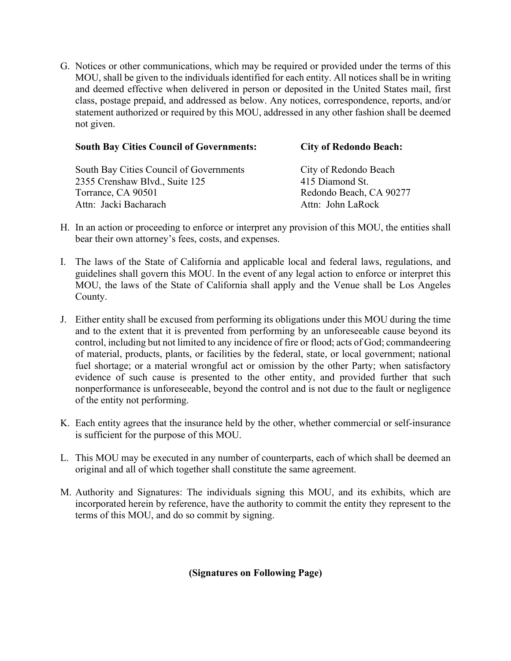G. Notices or other communications, which may be required or provided under the terms of this MOU, shall be given to the individuals identified for each entity. All notices shall be in writing and deemed effective when delivered in person or deposited in the United States mail, first class, postage prepaid, and addressed as below. Any notices, correspondence, reports, and/or statement authorized or required by this MOU, addressed in any other fashion shall be deemed not given.

| <b>South Bay Cities Council of Governments:</b> | <b>City of Redondo Beach:</b> |  |  |
|-------------------------------------------------|-------------------------------|--|--|
| South Bay Cities Council of Governments         | City of Redondo Beach         |  |  |
| 2355 Crenshaw Blvd., Suite 125                  | 415 Diamond St.               |  |  |
| Torrance, CA 90501                              | Redondo Beach, CA 90277       |  |  |
| Attn: Jacki Bacharach                           | Attn: John LaRock             |  |  |

- H. In an action or proceeding to enforce or interpret any provision of this MOU, the entities shall bear their own attorney's fees, costs, and expenses.
- I. The laws of the State of California and applicable local and federal laws, regulations, and guidelines shall govern this MOU. In the event of any legal action to enforce or interpret this MOU, the laws of the State of California shall apply and the Venue shall be Los Angeles County.
- J. Either entity shall be excused from performing its obligations under this MOU during the time and to the extent that it is prevented from performing by an unforeseeable cause beyond its control, including but not limited to any incidence of fire or flood; acts of God; commandeering of material, products, plants, or facilities by the federal, state, or local government; national fuel shortage; or a material wrongful act or omission by the other Party; when satisfactory evidence of such cause is presented to the other entity, and provided further that such nonperformance is unforeseeable, beyond the control and is not due to the fault or negligence of the entity not performing.
- K. Each entity agrees that the insurance held by the other, whether commercial or self-insurance is sufficient for the purpose of this MOU.
- L. This MOU may be executed in any number of counterparts, each of which shall be deemed an original and all of which together shall constitute the same agreement.
- M. Authority and Signatures: The individuals signing this MOU, and its exhibits, which are incorporated herein by reference, have the authority to commit the entity they represent to the terms of this MOU, and do so commit by signing.

**(Signatures on Following Page)**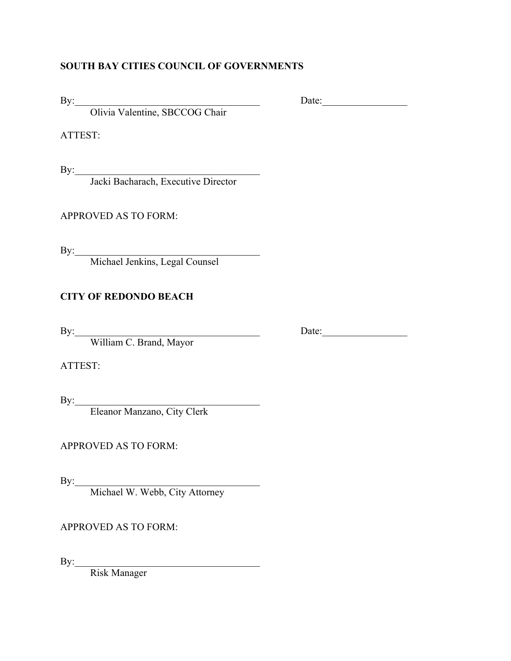### **SOUTH BAY CITIES COUNCIL OF GOVERNMENTS**

Olivia Valentine, SBCCOG Chair

ATTEST:

 $\mathbf{By:}$ 

Jacki Bacharach, Executive Director

APPROVED AS TO FORM:

 $\mathbf{By:}$ 

Michael Jenkins, Legal Counsel

## **CITY OF REDONDO BEACH**

William C. Brand, Mayor

ATTEST:

 $\mathbf{By:}$ 

Eleanor Manzano, City Clerk

APPROVED AS TO FORM:

 $\mathbf{By:}$ 

Michael W. Webb, City Attorney

APPROVED AS TO FORM:

 $By: \underline{\hspace{2cm}}$ Risk Manager

By: Date:

By:\_\_\_\_\_\_\_\_\_\_\_\_\_\_\_\_\_\_\_\_\_\_\_\_\_\_\_\_\_\_\_\_\_\_\_\_\_ Date:\_\_\_\_\_\_\_\_\_\_\_\_\_\_\_\_\_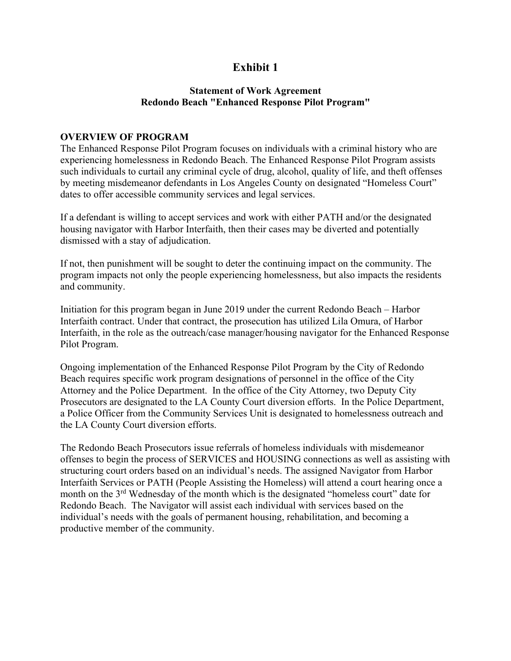## **Exhibit 1**

#### **Statement of Work Agreement Redondo Beach "Enhanced Response Pilot Program"**

#### **OVERVIEW OF PROGRAM**

The Enhanced Response Pilot Program focuses on individuals with a criminal history who are experiencing homelessness in Redondo Beach. The Enhanced Response Pilot Program assists such individuals to curtail any criminal cycle of drug, alcohol, quality of life, and theft offenses by meeting misdemeanor defendants in Los Angeles County on designated "Homeless Court" dates to offer accessible community services and legal services.

If a defendant is willing to accept services and work with either PATH and/or the designated housing navigator with Harbor Interfaith, then their cases may be diverted and potentially dismissed with a stay of adjudication.

If not, then punishment will be sought to deter the continuing impact on the community. The program impacts not only the people experiencing homelessness, but also impacts the residents and community.

Initiation for this program began in June 2019 under the current Redondo Beach – Harbor Interfaith contract. Under that contract, the prosecution has utilized Lila Omura, of Harbor Interfaith, in the role as the outreach/case manager/housing navigator for the Enhanced Response Pilot Program.

Ongoing implementation of the Enhanced Response Pilot Program by the City of Redondo Beach requires specific work program designations of personnel in the office of the City Attorney and the Police Department. In the office of the City Attorney, two Deputy City Prosecutors are designated to the LA County Court diversion efforts. In the Police Department, a Police Officer from the Community Services Unit is designated to homelessness outreach and the LA County Court diversion efforts.

The Redondo Beach Prosecutors issue referrals of homeless individuals with misdemeanor offenses to begin the process of SERVICES and HOUSING connections as well as assisting with structuring court orders based on an individual's needs. The assigned Navigator from Harbor Interfaith Services or PATH (People Assisting the Homeless) will attend a court hearing once a month on the 3rd Wednesday of the month which is the designated "homeless court" date for Redondo Beach. The Navigator will assist each individual with services based on the individual's needs with the goals of permanent housing, rehabilitation, and becoming a productive member of the community.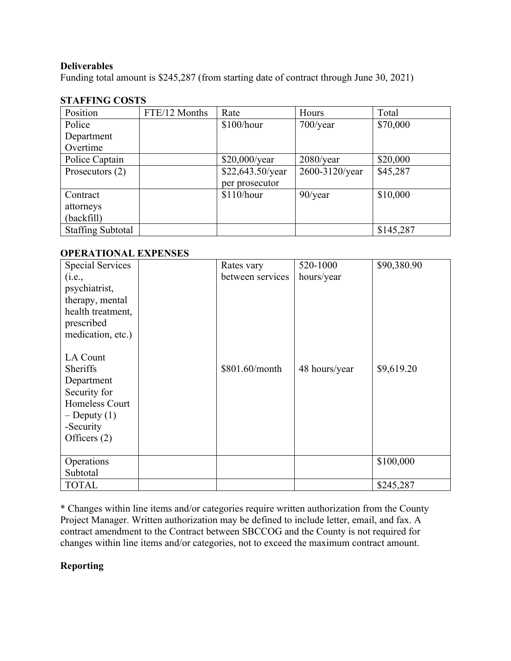### **Deliverables**

Funding total amount is \$245,287 (from starting date of contract through June 30, 2021)

### **STAFFING COSTS**

| Position                 | FTE/12 Months | Rate             | Hours          | Total     |
|--------------------------|---------------|------------------|----------------|-----------|
| Police                   |               | \$100/hour       | $700$ /year    | \$70,000  |
| Department               |               |                  |                |           |
| Overtime                 |               |                  |                |           |
| Police Captain           |               | \$20,000/year    | $2080$ /year   | \$20,000  |
| Prosecutors (2)          |               | \$22,643.50/year | 2600-3120/year | \$45,287  |
|                          |               | per prosecutor   |                |           |
| Contract                 |               | \$110/hour       | $90$ /year     | \$10,000  |
| attorneys                |               |                  |                |           |
| (backfill)               |               |                  |                |           |
| <b>Staffing Subtotal</b> |               |                  |                | \$145,287 |

### **OPERATIONAL EXPENSES**

| <b>Special Services</b> | Rates vary       | 520-1000      | \$90,380.90 |
|-------------------------|------------------|---------------|-------------|
| (i.e.,                  | between services | hours/year    |             |
| psychiatrist,           |                  |               |             |
|                         |                  |               |             |
| therapy, mental         |                  |               |             |
| health treatment,       |                  |               |             |
| prescribed              |                  |               |             |
| medication, etc.)       |                  |               |             |
|                         |                  |               |             |
| LA Count                |                  |               |             |
| Sheriffs                | \$801.60/month   | 48 hours/year | \$9,619.20  |
| Department              |                  |               |             |
| Security for            |                  |               |             |
| Homeless Court          |                  |               |             |
| $-D$ eputy $(1)$        |                  |               |             |
| -Security               |                  |               |             |
| Officers $(2)$          |                  |               |             |
|                         |                  |               |             |
| Operations              |                  |               | \$100,000   |
| Subtotal                |                  |               |             |
| <b>TOTAL</b>            |                  |               | \$245,287   |

\* Changes within line items and/or categories require written authorization from the County Project Manager. Written authorization may be defined to include letter, email, and fax. A contract amendment to the Contract between SBCCOG and the County is not required for changes within line items and/or categories, not to exceed the maximum contract amount.

### **Reporting**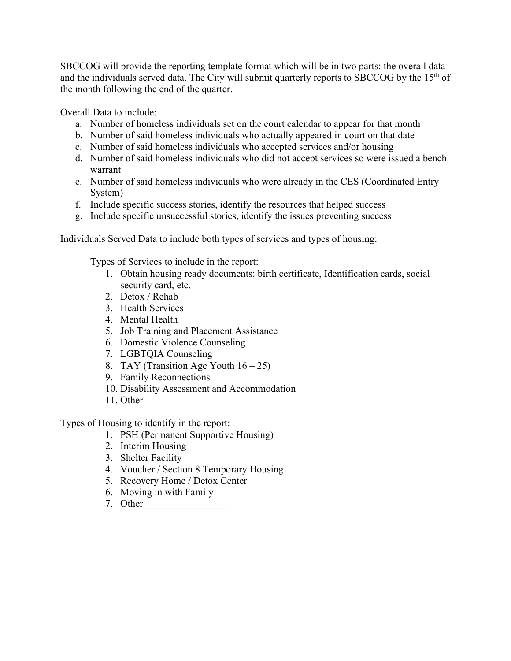SBCCOG will provide the reporting template format which will be in two parts: the overall data and the individuals served data. The City will submit quarterly reports to SBCCOG by the 15<sup>th</sup> of the month following the end of the quarter.

Overall Data to include:

- a. Number of homeless individuals set on the court calendar to appear for that month
- b. Number of said homeless individuals who actually appeared in court on that date
- c. Number of said homeless individuals who accepted services and/or housing
- d. Number of said homeless individuals who did not accept services so were issued a bench warrant
- e. Number of said homeless individuals who were already in the CES (Coordinated Entry System)
- f. Include specific success stories, identify the resources that helped success
- g. Include specific unsuccessful stories, identify the issues preventing success

Individuals Served Data to include both types of services and types of housing:

Types of Services to include in the report:

- 1. Obtain housing ready documents: birth certificate, Identification cards, social security card, etc.
- 2. Detox / Rehab
- 3. Health Services
- 4. Mental Health
- 5. Job Training and Placement Assistance
- 6. Domestic Violence Counseling
- 7. LGBTQIA Counseling
- 8. TAY (Transition Age Youth  $16 25$ )
- 9. Family Reconnections
- 10. Disability Assessment and Accommodation
- 11. Other \_\_\_\_\_\_\_\_\_\_\_\_\_\_

Types of Housing to identify in the report:

- 1. PSH (Permanent Supportive Housing)
- 2. Interim Housing
- 3. Shelter Facility
- 4. Voucher / Section 8 Temporary Housing
- 5. Recovery Home / Detox Center
- 6. Moving in with Family
- 7. Other \_\_\_\_\_\_\_\_\_\_\_\_\_\_\_\_